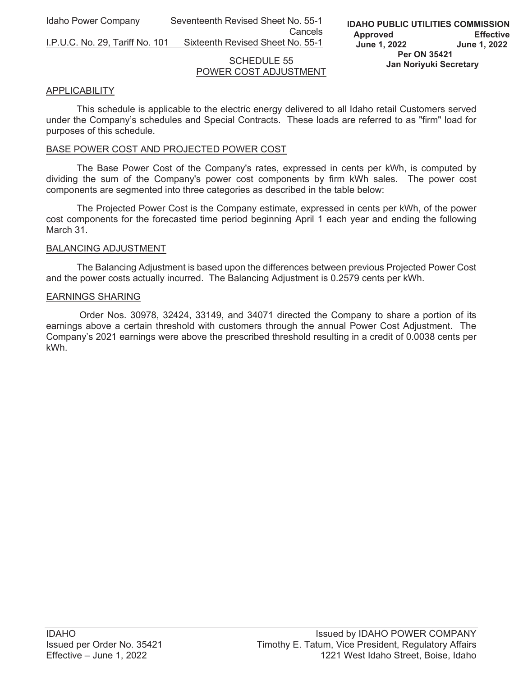Idaho Power Company Seventeenth Revised Sheet No. 55-1 **Cancels Cancels** 

I.P.U.C. No. 29, Tariff No. 101 Sixteenth Revised Sheet No. 55-1

### SCHEDULE 55 POWER COST ADJUSTMENT

# APPLICABILITY

This schedule is applicable to the electric energy delivered to all Idaho retail Customers served under the Company's schedules and Special Contracts. These loads are referred to as "firm" load for purposes of this schedule.

### BASE POWER COST AND PROJECTED POWER COST

The Base Power Cost of the Company's rates, expressed in cents per kWh, is computed by dividing the sum of the Company's power cost components by firm kWh sales. The power cost components are segmented into three categories as described in the table below:

The Projected Power Cost is the Company estimate, expressed in cents per kWh, of the power cost components for the forecasted time period beginning April 1 each year and ending the following March 31.

#### BALANCING ADJUSTMENT

The Balancing Adjustment is based upon the differences between previous Projected Power Cost and the power costs actually incurred. The Balancing Adjustment is 0.2579 cents per kWh.

#### EARNINGS SHARING

 Order Nos. 30978, 32424, 33149, and 34071 directed the Company to share a portion of its earnings above a certain threshold with customers through the annual Power Cost Adjustment. The Company's 2021 earnings were above the prescribed threshold resulting in a credit of 0.0038 cents per kWh.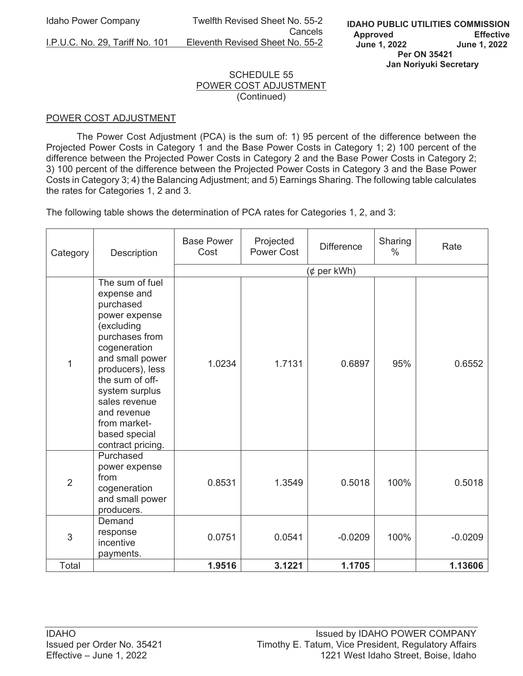Idaho Power Company Twelfth Revised Sheet No. 55-2 Cancels I.P.U.C. No. 29, Tariff No. 101 Eleventh Revised Sheet No. 55-2

# SCHEDULE 55 POWER COST ADJUSTMENT (Continued)

## POWER COST ADJUSTMENT

The Power Cost Adjustment (PCA) is the sum of: 1) 95 percent of the difference between the Projected Power Costs in Category 1 and the Base Power Costs in Category 1; 2) 100 percent of the difference between the Projected Power Costs in Category 2 and the Base Power Costs in Category 2; 3) 100 percent of the difference between the Projected Power Costs in Category 3 and the Base Power Costs in Category 3; 4) the Balancing Adjustment; and 5) Earnings Sharing. The following table calculates the rates for Categories 1, 2 and 3.

The following table shows the determination of PCA rates for Categories 1, 2, and 3:

| Category       | Description                                                                                                                                                                                                                                                                    | <b>Base Power</b><br>Cost | Projected<br><b>Power Cost</b> | <b>Difference</b> | Sharing<br>$\%$ | Rate      |  |
|----------------|--------------------------------------------------------------------------------------------------------------------------------------------------------------------------------------------------------------------------------------------------------------------------------|---------------------------|--------------------------------|-------------------|-----------------|-----------|--|
|                |                                                                                                                                                                                                                                                                                | (¢ per kWh)               |                                |                   |                 |           |  |
| 1              | The sum of fuel<br>expense and<br>purchased<br>power expense<br>(excluding<br>purchases from<br>cogeneration<br>and small power<br>producers), less<br>the sum of off-<br>system surplus<br>sales revenue<br>and revenue<br>from market-<br>based special<br>contract pricing. | 1.0234                    | 1.7131                         | 0.6897            | 95%             | 0.6552    |  |
| $\overline{2}$ | Purchased<br>power expense<br>from<br>cogeneration<br>and small power<br>producers.                                                                                                                                                                                            | 0.8531                    | 1.3549                         | 0.5018            | 100%            | 0.5018    |  |
| 3              | Demand<br>response<br>incentive<br>payments.                                                                                                                                                                                                                                   | 0.0751                    | 0.0541                         | $-0.0209$         | 100%            | $-0.0209$ |  |
| Total          |                                                                                                                                                                                                                                                                                | 1.9516                    | 3.1221                         | 1.1705            |                 | 1.13606   |  |